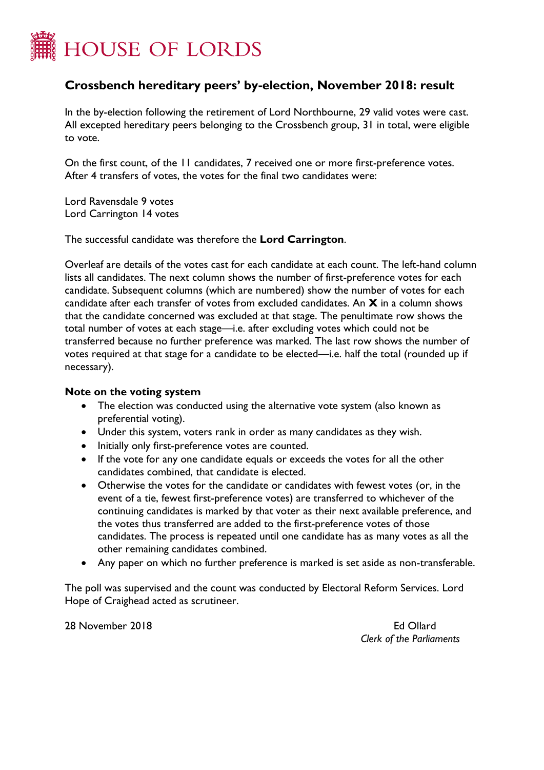

## **Crossbench hereditary peers' by-election, November 2018: result**

In the by-election following the retirement of Lord Northbourne, 29 valid votes were cast. All excepted hereditary peers belonging to the Crossbench group, 31 in total, were eligible to vote.

On the first count, of the 11 candidates, 7 received one or more first-preference votes. After 4 transfers of votes, the votes for the final two candidates were:

Lord Ravensdale 9 votes Lord Carrington 14 votes

The successful candidate was therefore the **Lord Carrington**.

Overleaf are details of the votes cast for each candidate at each count. The left-hand column lists all candidates. The next column shows the number of first-preference votes for each candidate. Subsequent columns (which are numbered) show the number of votes for each candidate after each transfer of votes from excluded candidates. An **X** in a column shows that the candidate concerned was excluded at that stage. The penultimate row shows the total number of votes at each stage—i.e. after excluding votes which could not be transferred because no further preference was marked. The last row shows the number of votes required at that stage for a candidate to be elected—i.e. half the total (rounded up if necessary).

## **Note on the voting system**

- The election was conducted using the alternative vote system (also known as preferential voting).
- Under this system, voters rank in order as many candidates as they wish.
- Initially only first-preference votes are counted.
- If the vote for any one candidate equals or exceeds the votes for all the other candidates combined, that candidate is elected.
- Otherwise the votes for the candidate or candidates with fewest votes (or, in the event of a tie, fewest first-preference votes) are transferred to whichever of the continuing candidates is marked by that voter as their next available preference, and the votes thus transferred are added to the first-preference votes of those candidates. The process is repeated until one candidate has as many votes as all the other remaining candidates combined.
- Any paper on which no further preference is marked is set aside as non-transferable.

The poll was supervised and the count was conducted by Electoral Reform Services. Lord Hope of Craighead acted as scrutineer.

28 November 2018 Ed Ollard

*Clerk of the Parliaments*